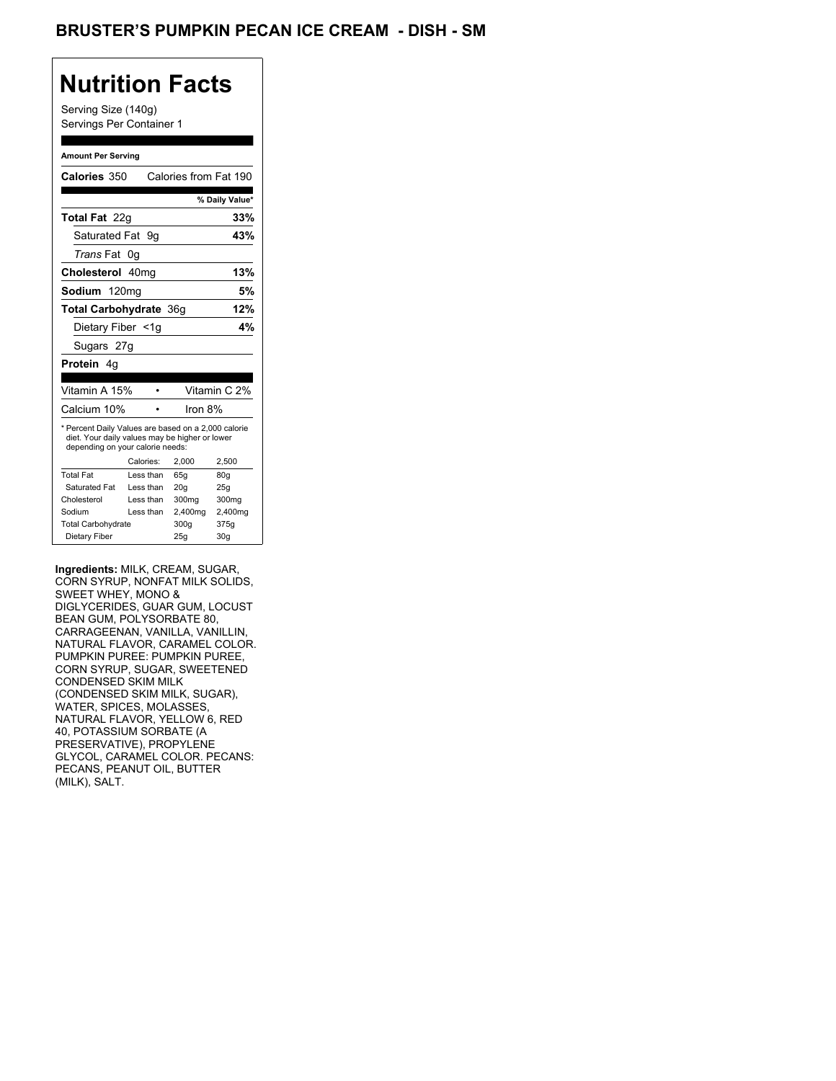## **Nutrition Facts**

Serving Size (140g) Servings Per Container 1

#### **Amount Per Serving**

| Calories 350                                                                                                                              |           |           | Calories from Fat 190 |                |
|-------------------------------------------------------------------------------------------------------------------------------------------|-----------|-----------|-----------------------|----------------|
|                                                                                                                                           |           |           |                       | % Daily Value* |
| <b>Total Fat</b> 22q                                                                                                                      |           |           |                       | 33%            |
| Saturated Fat                                                                                                                             |           | 9g        |                       | 43%            |
| <i>Trans</i> Fat                                                                                                                          | 0g        |           |                       |                |
| Cholesterol 40mg                                                                                                                          |           |           |                       | 13%            |
| Sodium 120mg                                                                                                                              |           |           |                       | 5%             |
| <b>Total Carbohydrate 36g</b>                                                                                                             |           |           |                       | 12%            |
| Dietary Fiber <1q                                                                                                                         |           |           |                       | 4%             |
| Sugars 27g                                                                                                                                |           |           |                       |                |
| <b>Protein</b> 4q                                                                                                                         |           |           |                       |                |
|                                                                                                                                           |           |           |                       |                |
| Vitamin A 15%                                                                                                                             |           |           |                       | Vitamin C 2%   |
| Calcium 10%                                                                                                                               |           |           | Iron 8%               |                |
| * Percent Daily Values are based on a 2,000 calorie<br>diet. Your daily values may be higher or lower<br>depending on your calorie needs: |           |           |                       |                |
|                                                                                                                                           | Calories: |           | 2.000                 | 2,500          |
| <b>Total Fat</b>                                                                                                                          | Less than |           | 65q                   | 80q            |
| Saturated Fat                                                                                                                             | Less than |           | 20q                   | 25q            |
| Cholesterol                                                                                                                               | Less than |           | 300mg                 | 300mg          |
| Sodium                                                                                                                                    |           | Less than | 2,400mg               | 2,400mg        |
| <b>Total Carbohydrate</b>                                                                                                                 |           |           | 300g                  | 375g           |
| Dietary Fiber                                                                                                                             |           |           | 25q                   | 30q            |

**Ingredients:** MILK, CREAM, SUGAR, CORN SYRUP, NONFAT MILK SOLIDS, SWEET WHEY, MONO & DIGLYCERIDES, GUAR GUM, LOCUST BEAN GUM, POLYSORBATE 80, CARRAGEENAN, VANILLA, VANILLIN, NATURAL FLAVOR, CARAMEL COLOR. PUMPKIN PUREE: PUMPKIN PUREE, CORN SYRUP, SUGAR, SWEETENED CONDENSED SKIM MILK (CONDENSED SKIM MILK, SUGAR), WATER, SPICES, MOLASSES, NATURAL FLAVOR, YELLOW 6, RED 40, POTASSIUM SORBATE (A PRESERVATIVE), PROPYLENE GLYCOL, CARAMEL COLOR. PECANS: PECANS, PEANUT OIL, BUTTER (MILK), SALT.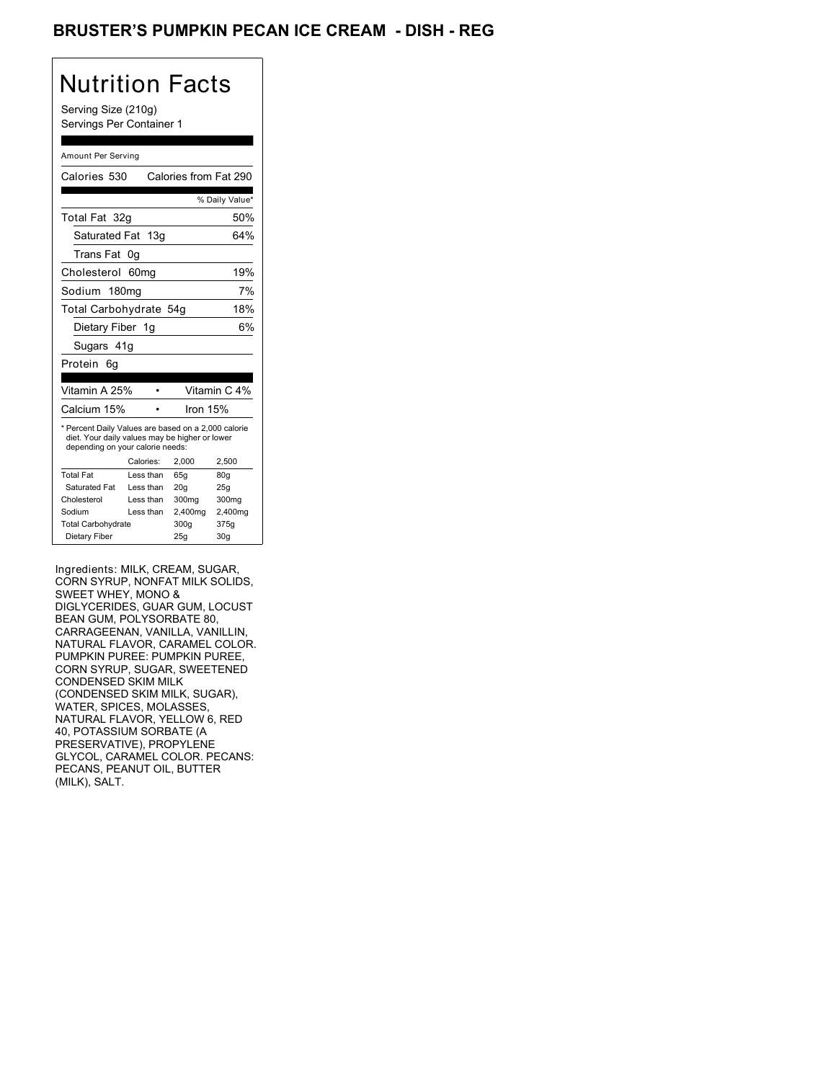## BRUSTER'S PUMPKIN PECAN ICE CREAM - DISH - REG

## Nutrition Facts

Serving Size (210g) Servings Per Container 1

#### Amount Per Serving

| Calories 530                                                                                                                              |                  |           |                   | Calories from Fat 290 |
|-------------------------------------------------------------------------------------------------------------------------------------------|------------------|-----------|-------------------|-----------------------|
|                                                                                                                                           |                  |           |                   | % Daily Value*        |
| Total Fat 32q                                                                                                                             |                  |           |                   | 50%                   |
| Saturated Fat                                                                                                                             |                  | 13g       |                   | 64%                   |
| Trans Fat                                                                                                                                 | 0g               |           |                   |                       |
| Cholesterol                                                                                                                               | 60 <sub>mq</sub> |           |                   | 19%                   |
| Sodium 180mg                                                                                                                              |                  |           |                   | 7%                    |
| Total Carbohydrate 54g                                                                                                                    |                  |           |                   | 18%                   |
| Dietary Fiber 1g                                                                                                                          |                  |           |                   | 6%                    |
| Sugars 41g                                                                                                                                |                  |           |                   |                       |
| Protein<br>6q                                                                                                                             |                  |           |                   |                       |
|                                                                                                                                           |                  |           |                   |                       |
| Vitamin A 25%                                                                                                                             |                  |           |                   | Vitamin C 4%          |
| Calcium 15%                                                                                                                               |                  |           | Iron 15%          |                       |
| * Percent Daily Values are based on a 2,000 calorie<br>diet. Your daily values may be higher or lower<br>depending on your calorie needs: |                  |           |                   |                       |
|                                                                                                                                           |                  | Calories: | 2.000             | 2,500                 |
| <b>Total Fat</b>                                                                                                                          |                  | Less than | 65q               | 80q                   |
| Saturated Fat                                                                                                                             |                  | Less than | 20q               | 25q                   |
| Cholesterol                                                                                                                               |                  | Less than | 300 <sub>mq</sub> | 300mg                 |
| Sodium                                                                                                                                    |                  | Less than | 2,400mg           | 2,400mg               |
| <b>Total Carbohydrate</b>                                                                                                                 |                  |           | 300g              | 375g                  |
| Dietary Fiber                                                                                                                             |                  |           |                   |                       |
|                                                                                                                                           |                  |           | 25g               | 30q                   |

Ingredients: MILK, CREAM, SUGAR, CORN SYRUP, NONFAT MILK SOLIDS, SWEET WHEY, MONO & DIGLYCERIDES, GUAR GUM, LOCUST BEAN GUM, POLYSORBATE 80, CARRAGEENAN, VANILLA, VANILLIN, NATURAL FLAVOR, CARAMEL COLOR. PUMPKIN PUREE: PUMPKIN PUREE, CORN SYRUP, SUGAR, SWEETENED CONDENSED SKIM MILK (CONDENSED SKIM MILK, SUGAR), WATER, SPICES, MOLASSES, NATURAL FLAVOR, YELLOW 6, RED 40, POTASSIUM SORBATE (A PRESERVATIVE), PROPYLENE GLYCOL, CARAMEL COLOR. PECANS: PECANS, PEANUT OIL, BUTTER (MILK), SALT.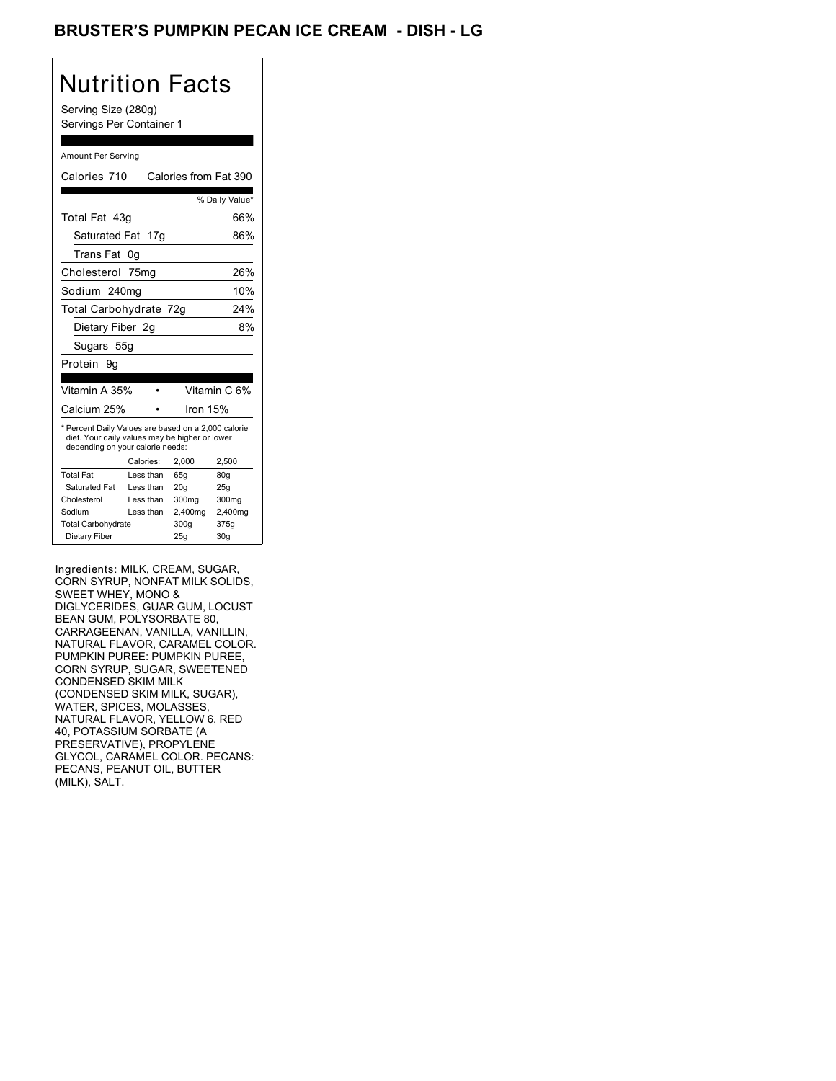## BRUSTER'S PUMPKIN PECAN ICE CREAM - DISH - LG

## Nutrition Facts

Serving Size (280g) Servings Per Container 1

#### Amount Per Serving

| Calories 710                                                                                                                              |           |            | Calories from Fat 390 |
|-------------------------------------------------------------------------------------------------------------------------------------------|-----------|------------|-----------------------|
|                                                                                                                                           |           |            | % Daily Value*        |
| Total Fat 43g                                                                                                                             |           |            | 66%                   |
| Saturated Fat 17g                                                                                                                         |           |            | 86%                   |
| Trans Fat                                                                                                                                 | 0g        |            |                       |
| Cholesterol 75mg                                                                                                                          |           |            | 26%                   |
| Sodium 240mg                                                                                                                              |           |            | 10%                   |
| Total Carbohydrate 72g                                                                                                                    |           |            | 24%                   |
| Dietary Fiber 2g                                                                                                                          |           |            | 8%                    |
| Sugars 55g                                                                                                                                |           |            |                       |
| Protein 9q                                                                                                                                |           |            |                       |
|                                                                                                                                           |           |            |                       |
| Vitamin A 35%                                                                                                                             |           |            | Vitamin C 6%          |
| Calcium 25%                                                                                                                               |           | Iron $15%$ |                       |
| * Percent Daily Values are based on a 2,000 calorie<br>diet. Your daily values may be higher or lower<br>depending on your calorie needs: |           |            |                       |
|                                                                                                                                           | Calories: | 2.000      | 2,500                 |
| <b>Total Fat</b>                                                                                                                          | Less than | 65q        | 80q                   |
| Saturated Fat                                                                                                                             | Less than | 20q        | 25q                   |
| Cholesterol                                                                                                                               | Less than | 300mg      | 300mg                 |
| Sodium                                                                                                                                    | Less than | 2,400mg    | 2,400mg               |
| <b>Total Carbohydrate</b>                                                                                                                 |           | 300g       | 375g                  |
| Dietary Fiber                                                                                                                             |           | 25q        | 30 <sub>g</sub>       |

Ingredients: MILK, CREAM, SUGAR, CORN SYRUP, NONFAT MILK SOLIDS, SWEET WHEY, MONO & DIGLYCERIDES, GUAR GUM, LOCUST BEAN GUM, POLYSORBATE 80, CARRAGEENAN, VANILLA, VANILLIN, NATURAL FLAVOR, CARAMEL COLOR. PUMPKIN PUREE: PUMPKIN PUREE, CORN SYRUP, SUGAR, SWEETENED CONDENSED SKIM MILK (CONDENSED SKIM MILK, SUGAR), WATER, SPICES, MOLASSES, NATURAL FLAVOR, YELLOW 6, RED 40, POTASSIUM SORBATE (A PRESERVATIVE), PROPYLENE GLYCOL, CARAMEL COLOR. PECANS: PECANS, PEANUT OIL, BUTTER (MILK), SALT.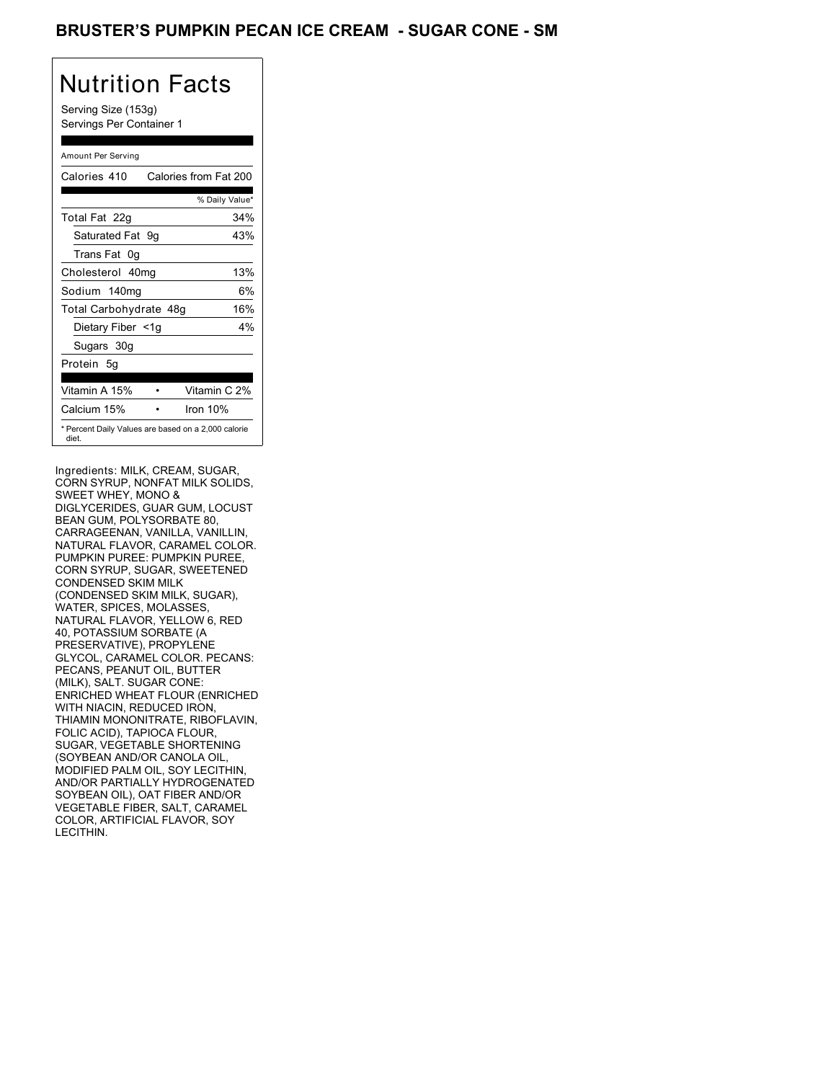### BRUSTER'S PUMPKIN PECAN ICE CREAM - SUGAR CONE - SM

# Nutrition Facts

Serving Size (153g) Servings Per Container 1

#### Amount Per Serving

| Calories 410                                                 |  | Calories from Fat 200 |
|--------------------------------------------------------------|--|-----------------------|
|                                                              |  | % Daily Value*        |
| Total Fat 22g                                                |  | 34%                   |
| Saturated Fat 9q                                             |  | 43%                   |
| Trans Fat 0q                                                 |  |                       |
| Cholesterol 40mg                                             |  | 13%                   |
| Sodium 140mg                                                 |  | 6%                    |
| Total Carbohydrate 48g                                       |  | 16%                   |
| Dietary Fiber <1g                                            |  | $4\%$                 |
| Sugars 30g                                                   |  |                       |
| Protein 5q                                                   |  |                       |
| Vitamin A 15%                                                |  | Vitamin C 2%          |
| Calcium 15%                                                  |  | Iron $10%$            |
| * Percent Daily Values are based on a 2,000 calorie<br>diet. |  |                       |

Ingredients: MILK, CREAM, SUGAR, CORN SYRUP, NONFAT MILK SOLIDS, SWEET WHEY, MONO & DIGLYCERIDES, GUAR GUM, LOCUST BEAN GUM, POLYSORBATE 80, CARRAGEENAN, VANILLA, VANILLIN, NATURAL FLAVOR, CARAMEL COLOR. PUMPKIN PUREE: PUMPKIN PUREE, CORN SYRUP, SUGAR, SWEETENED CONDENSED SKIM MILK (CONDENSED SKIM MILK, SUGAR), WATER, SPICES, MOLASSES, NATURAL FLAVOR, YELLOW 6, RED 40, POTASSIUM SORBATE (A PRESERVATIVE), PROPYLENE GLYCOL, CARAMEL COLOR. PECANS: PECANS, PEANUT OIL, BUTTER (MILK), SALT. SUGAR CONE: ENRICHED WHEAT FLOUR (ENRICHED WITH NIACIN, REDUCED IRON, THIAMIN MONONITRATE, RIBOFLAVIN, FOLIC ACID), TAPIOCA FLOUR, SUGAR, VEGETABLE SHORTENING (SOYBEAN AND/OR CANOLA OIL, MODIFIED PALM OIL, SOY LECITHIN, AND/OR PARTIALLY HYDROGENATED SOYBEAN OIL), OAT FIBER AND/OR VEGETABLE FIBER, SALT, CARAMEL COLOR, ARTIFICIAL FLAVOR, SOY LECITHIN.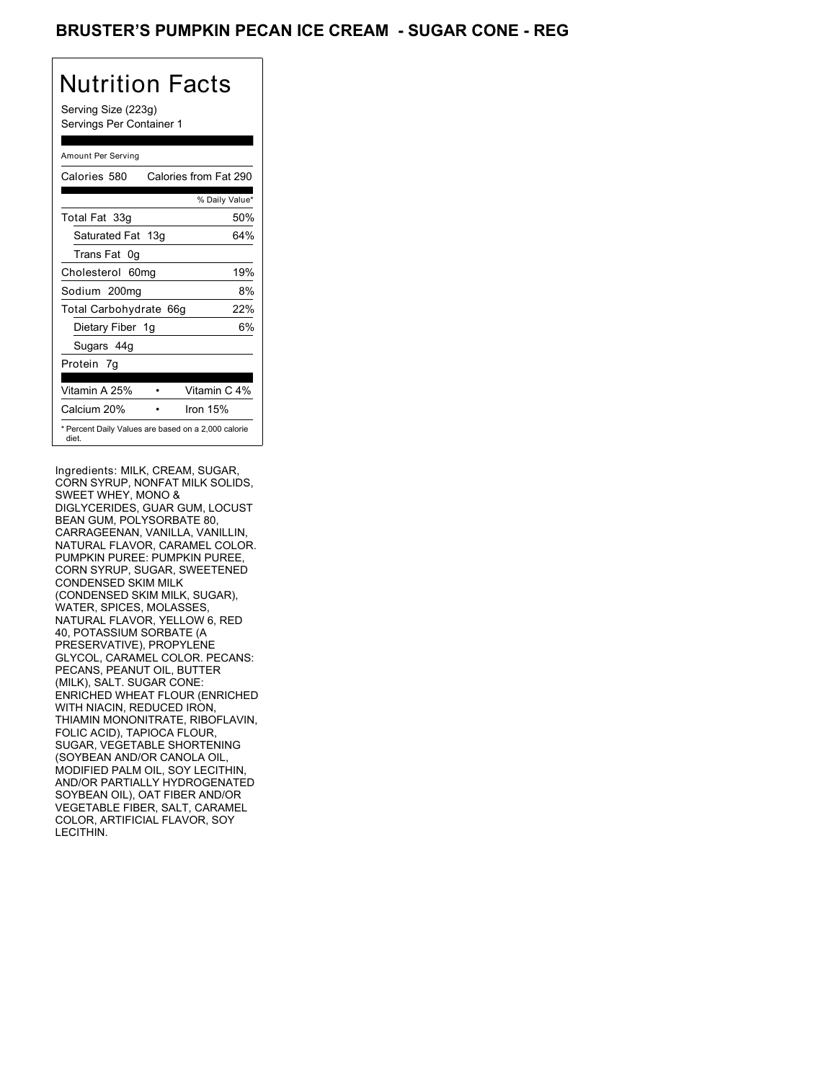### BRUSTER'S PUMPKIN PECAN ICE CREAM - SUGAR CONE - REG

# Nutrition Facts

Serving Size (223g) Servings Per Container 1

#### Amount Per Serving

| Calories 580           | Calories from Fat 290                               |
|------------------------|-----------------------------------------------------|
|                        | % Daily Value*                                      |
| Total Fat 33g          | 50%                                                 |
| Saturated Fat 13g      | 64%                                                 |
| Trans Fat 0q           |                                                     |
| Cholesterol 60mg       | 19%                                                 |
| Sodium 200mg           | 8%                                                  |
| Total Carbohydrate 66g | 22%                                                 |
| Dietary Fiber 1g       | 6%                                                  |
| Sugars 44g             |                                                     |
| Protein 7q             |                                                     |
| Vitamin A 25%          | Vitamin C 4%                                        |
| Calcium 20%            | Iron 15%                                            |
| diet.                  | * Percent Daily Values are based on a 2,000 calorie |

Ingredients: MILK, CREAM, SUGAR, CORN SYRUP, NONFAT MILK SOLIDS, SWEET WHEY, MONO & DIGLYCERIDES, GUAR GUM, LOCUST BEAN GUM, POLYSORBATE 80, CARRAGEENAN, VANILLA, VANILLIN, NATURAL FLAVOR, CARAMEL COLOR. PUMPKIN PUREE: PUMPKIN PUREE, CORN SYRUP, SUGAR, SWEETENED CONDENSED SKIM MILK (CONDENSED SKIM MILK, SUGAR), WATER, SPICES, MOLASSES, NATURAL FLAVOR, YELLOW 6, RED 40, POTASSIUM SORBATE (A PRESERVATIVE), PROPYLENE GLYCOL, CARAMEL COLOR. PECANS: PECANS, PEANUT OIL, BUTTER (MILK), SALT. SUGAR CONE: ENRICHED WHEAT FLOUR (ENRICHED WITH NIACIN, REDUCED IRON, THIAMIN MONONITRATE, RIBOFLAVIN, FOLIC ACID), TAPIOCA FLOUR, SUGAR, VEGETABLE SHORTENING (SOYBEAN AND/OR CANOLA OIL, MODIFIED PALM OIL, SOY LECITHIN, AND/OR PARTIALLY HYDROGENATED SOYBEAN OIL), OAT FIBER AND/OR VEGETABLE FIBER, SALT, CARAMEL COLOR, ARTIFICIAL FLAVOR, SOY LECITHIN.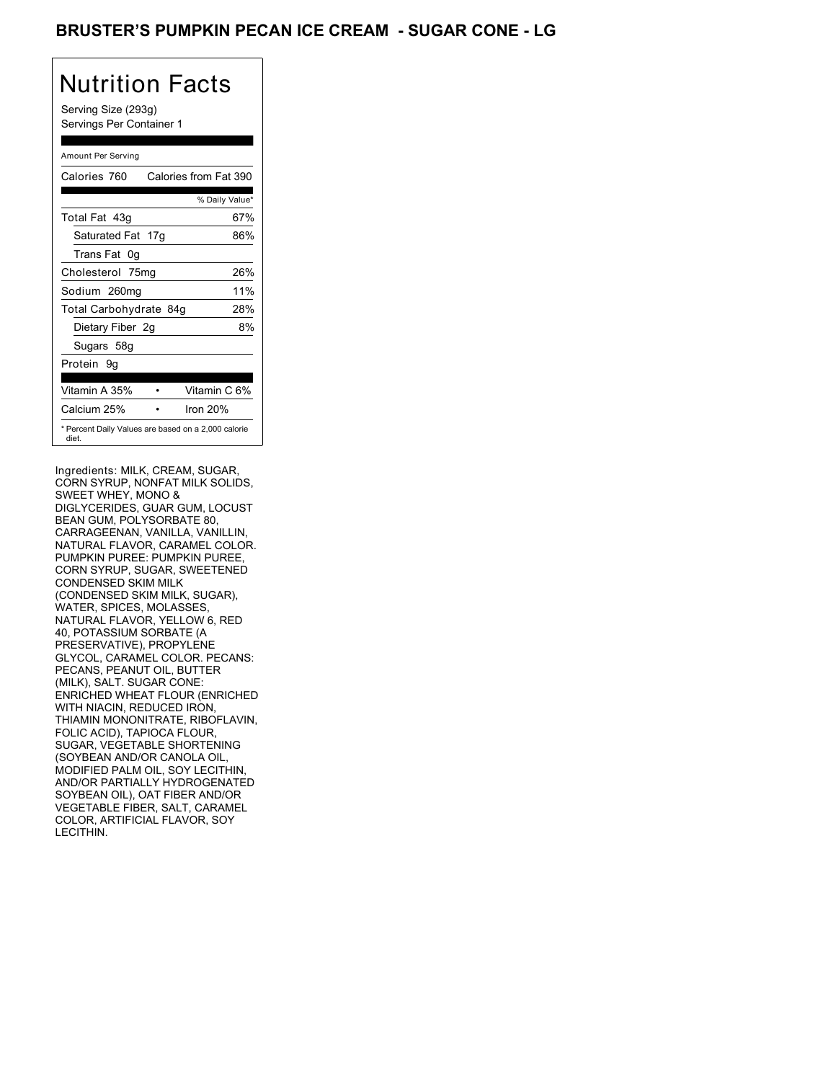## BRUSTER'S PUMPKIN PECAN ICE CREAM - SUGAR CONE - LG

# Nutrition Facts

Serving Size (293g) Servings Per Container 1

#### Amount Per Serving

| Calories 760           | Calories from Fat 390                               |
|------------------------|-----------------------------------------------------|
|                        | % Daily Value*                                      |
| Total Fat 43q          | 67%                                                 |
| Saturated Fat 17g      | 86%                                                 |
| Trans Fat 0q           |                                                     |
| Cholesterol 75mg       | 26%                                                 |
| Sodium 260mg           | 11%                                                 |
| Total Carbohydrate 84g | 28%                                                 |
| Dietary Fiber 2g       | 8%                                                  |
| Sugars 58g             |                                                     |
| Protein 9q             |                                                     |
| Vitamin A 35%          | Vitamin C 6%                                        |
| Calcium 25%            | Iron $20%$                                          |
| diet.                  | * Percent Daily Values are based on a 2,000 calorie |

Ingredients: MILK, CREAM, SUGAR, CORN SYRUP, NONFAT MILK SOLIDS, SWEET WHEY, MONO & DIGLYCERIDES, GUAR GUM, LOCUST BEAN GUM, POLYSORBATE 80, CARRAGEENAN, VANILLA, VANILLIN, NATURAL FLAVOR, CARAMEL COLOR. PUMPKIN PUREE: PUMPKIN PUREE, CORN SYRUP, SUGAR, SWEETENED CONDENSED SKIM MILK (CONDENSED SKIM MILK, SUGAR), WATER, SPICES, MOLASSES, NATURAL FLAVOR, YELLOW 6, RED 40, POTASSIUM SORBATE (A PRESERVATIVE), PROPYLENE GLYCOL, CARAMEL COLOR. PECANS: PECANS, PEANUT OIL, BUTTER (MILK), SALT. SUGAR CONE: ENRICHED WHEAT FLOUR (ENRICHED WITH NIACIN, REDUCED IRON, THIAMIN MONONITRATE, RIBOFLAVIN, FOLIC ACID), TAPIOCA FLOUR, SUGAR, VEGETABLE SHORTENING (SOYBEAN AND/OR CANOLA OIL, MODIFIED PALM OIL, SOY LECITHIN, AND/OR PARTIALLY HYDROGENATED SOYBEAN OIL), OAT FIBER AND/OR VEGETABLE FIBER, SALT, CARAMEL COLOR, ARTIFICIAL FLAVOR, SOY LECITHIN.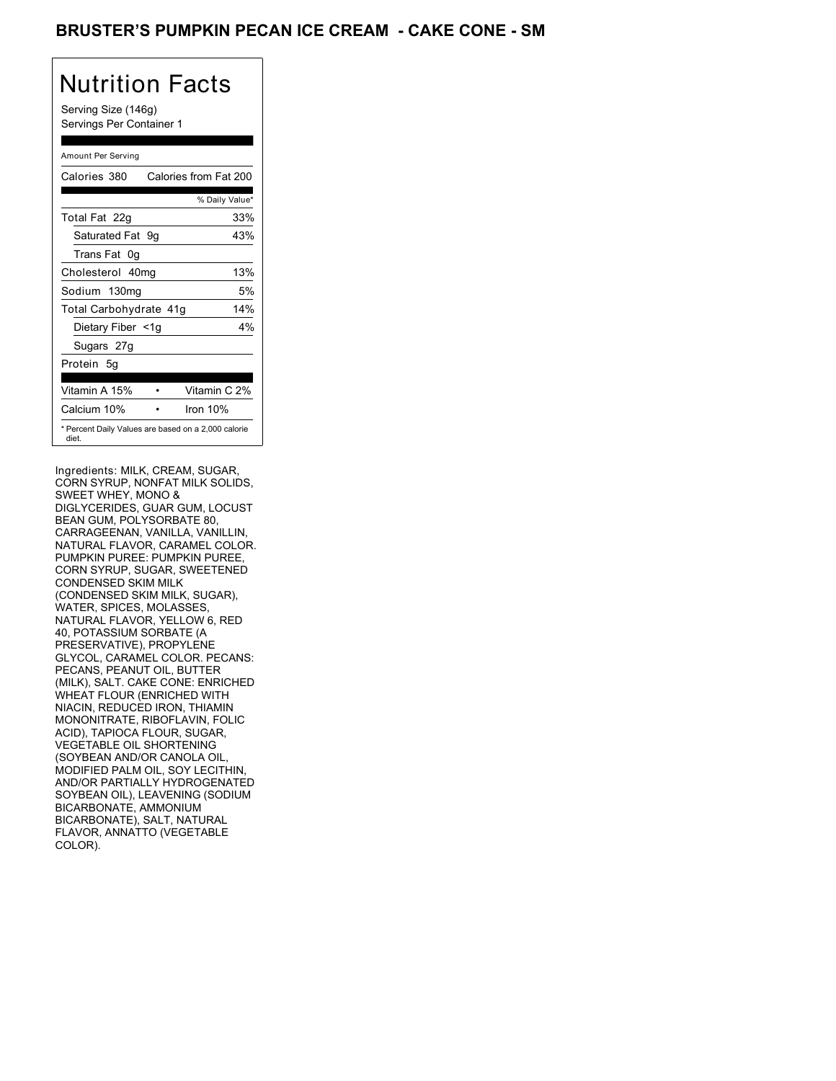### BRUSTER'S PUMPKIN PECAN ICE CREAM - CAKE CONE - SM

# Nutrition Facts

Serving Size (146g) Servings Per Container 1

#### Amount Per Serving

| Calories 380           | Calories from Fat 200                               |
|------------------------|-----------------------------------------------------|
|                        | % Daily Value*                                      |
| Total Fat 22g          | 33%                                                 |
| Saturated Fat 9q       | 43%                                                 |
| Trans Fat 0q           |                                                     |
| Cholesterol 40mg       | 13%                                                 |
| Sodium 130mg           | 5%                                                  |
| Total Carbohydrate 41g | 14%                                                 |
| Dietary Fiber <1g      | $4\%$                                               |
| Sugars 27g             |                                                     |
| Protein 5q             |                                                     |
| Vitamin A 15%          | Vitamin C 2%                                        |
| Calcium 10%            | Iron $10%$                                          |
| diet.                  | * Percent Daily Values are based on a 2,000 calorie |

Ingredients: MILK, CREAM, SUGAR, CORN SYRUP, NONFAT MILK SOLIDS, SWEET WHEY, MONO & DIGLYCERIDES, GUAR GUM, LOCUST BEAN GUM, POLYSORBATE 80, CARRAGEENAN, VANILLA, VANILLIN, NATURAL FLAVOR, CARAMEL COLOR. PUMPKIN PUREE: PUMPKIN PUREE, CORN SYRUP, SUGAR, SWEETENED CONDENSED SKIM MILK (CONDENSED SKIM MILK, SUGAR), WATER, SPICES, MOLASSES, NATURAL FLAVOR, YELLOW 6, RED 40, POTASSIUM SORBATE (A PRESERVATIVE), PROPYLENE GLYCOL, CARAMEL COLOR. PECANS: PECANS, PEANUT OIL, BUTTER (MILK), SALT. CAKE CONE: ENRICHED WHEAT FLOUR (ENRICHED WITH NIACIN, REDUCED IRON, THIAMIN MONONITRATE, RIBOFLAVIN, FOLIC ACID), TAPIOCA FLOUR, SUGAR, VEGETABLE OIL SHORTENING (SOYBEAN AND/OR CANOLA OIL, MODIFIED PALM OIL, SOY LECITHIN, AND/OR PARTIALLY HYDROGENATED SOYBEAN OIL), LEAVENING (SODIUM BICARBONATE, AMMONIUM BICARBONATE), SALT, NATURAL FLAVOR, ANNATTO (VEGETABLE COLOR).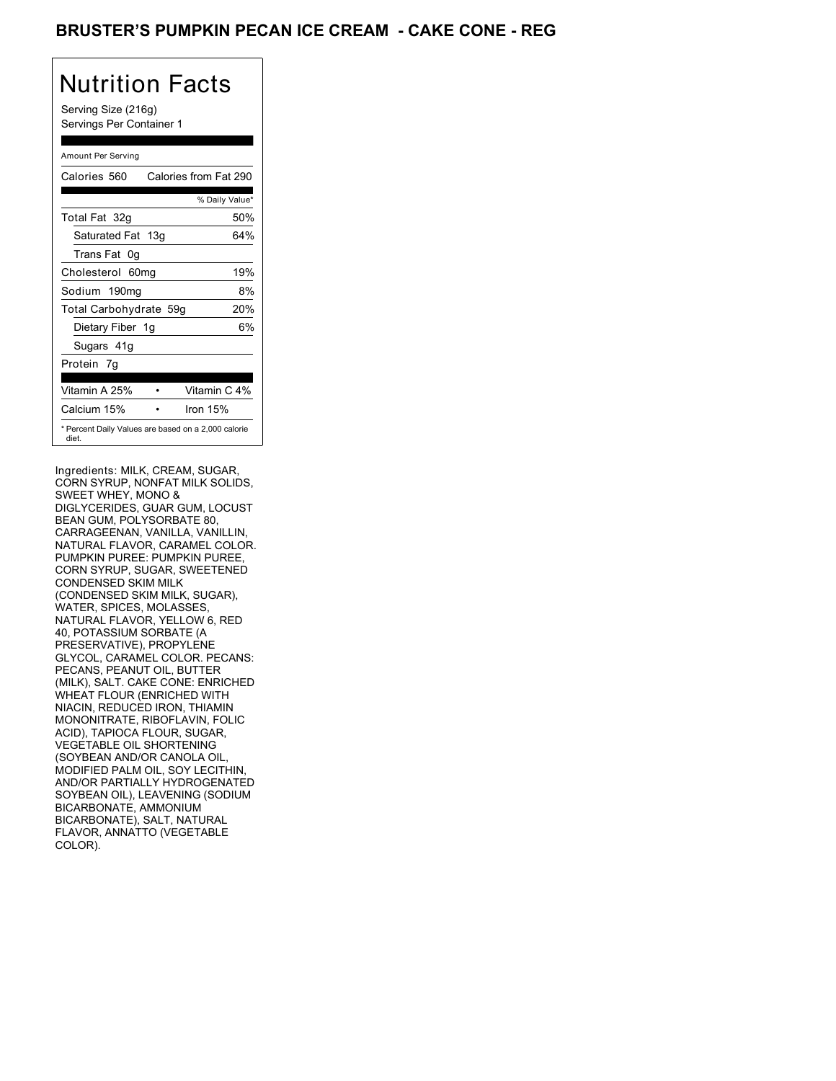### BRUSTER'S PUMPKIN PECAN ICE CREAM - CAKE CONE - REG

# Nutrition Facts

Serving Size (216g) Servings Per Container 1

#### Amount Per Serving

| Calories 560           | Calories from Fat 290                               |
|------------------------|-----------------------------------------------------|
|                        | % Daily Value*                                      |
| Total Fat 32g          | 50%                                                 |
| Saturated Fat 13g      | 64%                                                 |
| Trans Fat 0q           |                                                     |
| Cholesterol 60mg       | 19%                                                 |
| Sodium 190mg           | 8%                                                  |
| Total Carbohydrate 59g | 20%                                                 |
| Dietary Fiber 1g       | 6%                                                  |
| Sugars 41g             |                                                     |
| Protein 7q             |                                                     |
| Vitamin A 25%          | Vitamin C 4%                                        |
| Calcium 15%            | Iron 15%                                            |
| diet.                  | * Percent Daily Values are based on a 2,000 calorie |

Ingredients: MILK, CREAM, SUGAR, CORN SYRUP, NONFAT MILK SOLIDS, SWEET WHEY, MONO & DIGLYCERIDES, GUAR GUM, LOCUST BEAN GUM, POLYSORBATE 80, CARRAGEENAN, VANILLA, VANILLIN, NATURAL FLAVOR, CARAMEL COLOR. PUMPKIN PUREE: PUMPKIN PUREE, CORN SYRUP, SUGAR, SWEETENED CONDENSED SKIM MILK (CONDENSED SKIM MILK, SUGAR), WATER, SPICES, MOLASSES, NATURAL FLAVOR, YELLOW 6, RED 40, POTASSIUM SORBATE (A PRESERVATIVE), PROPYLENE GLYCOL, CARAMEL COLOR. PECANS: PECANS, PEANUT OIL, BUTTER (MILK), SALT. CAKE CONE: ENRICHED WHEAT FLOUR (ENRICHED WITH NIACIN, REDUCED IRON, THIAMIN MONONITRATE, RIBOFLAVIN, FOLIC ACID), TAPIOCA FLOUR, SUGAR, VEGETABLE OIL SHORTENING (SOYBEAN AND/OR CANOLA OIL, MODIFIED PALM OIL, SOY LECITHIN, AND/OR PARTIALLY HYDROGENATED SOYBEAN OIL), LEAVENING (SODIUM BICARBONATE, AMMONIUM BICARBONATE), SALT, NATURAL FLAVOR, ANNATTO (VEGETABLE COLOR).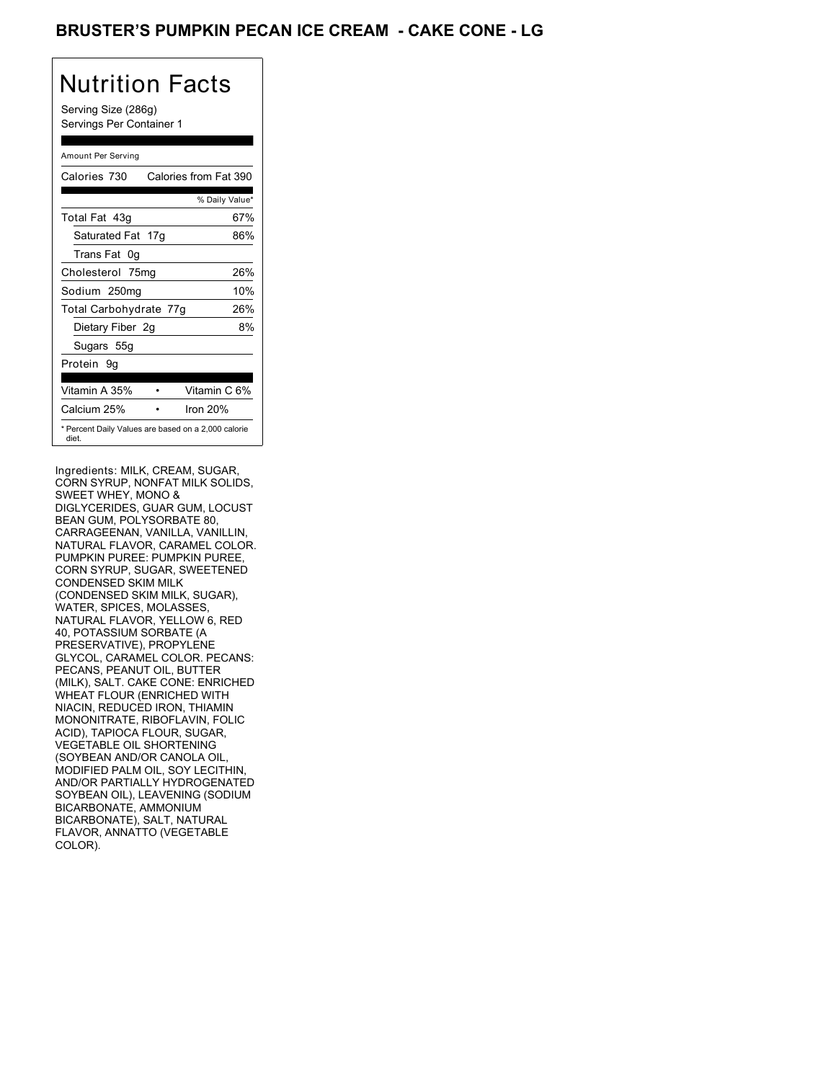## BRUSTER'S PUMPKIN PECAN ICE CREAM - CAKE CONE - LG

# Nutrition Facts

Serving Size (286g) Servings Per Container 1

#### Amount Per Serving

| Calories 730           | Calories from Fat 390                               |
|------------------------|-----------------------------------------------------|
|                        | % Daily Value*                                      |
| Total Fat 43q          | 67%                                                 |
| Saturated Fat 17g      | 86%                                                 |
| Trans Fat 0q           |                                                     |
| Cholesterol 75mg       | 26%                                                 |
| Sodium 250mg           | 10%                                                 |
| Total Carbohydrate 77g | 26%                                                 |
| Dietary Fiber 2g       | 8%                                                  |
| Sugars 55g             |                                                     |
| Protein 9q             |                                                     |
| Vitamin A 35%          | Vitamin C 6%                                        |
| Calcium 25%            | Iron $20%$                                          |
| diet.                  | * Percent Daily Values are based on a 2,000 calorie |

Ingredients: MILK, CREAM, SUGAR, CORN SYRUP, NONFAT MILK SOLIDS, SWEET WHEY, MONO & DIGLYCERIDES, GUAR GUM, LOCUST BEAN GUM, POLYSORBATE 80, CARRAGEENAN, VANILLA, VANILLIN, NATURAL FLAVOR, CARAMEL COLOR. PUMPKIN PUREE: PUMPKIN PUREE, CORN SYRUP, SUGAR, SWEETENED CONDENSED SKIM MILK (CONDENSED SKIM MILK, SUGAR), WATER, SPICES, MOLASSES, NATURAL FLAVOR, YELLOW 6, RED 40, POTASSIUM SORBATE (A PRESERVATIVE), PROPYLENE GLYCOL, CARAMEL COLOR. PECANS: PECANS, PEANUT OIL, BUTTER (MILK), SALT. CAKE CONE: ENRICHED WHEAT FLOUR (ENRICHED WITH NIACIN, REDUCED IRON, THIAMIN MONONITRATE, RIBOFLAVIN, FOLIC ACID), TAPIOCA FLOUR, SUGAR, VEGETABLE OIL SHORTENING (SOYBEAN AND/OR CANOLA OIL, MODIFIED PALM OIL, SOY LECITHIN, AND/OR PARTIALLY HYDROGENATED SOYBEAN OIL), LEAVENING (SODIUM BICARBONATE, AMMONIUM BICARBONATE), SALT, NATURAL FLAVOR, ANNATTO (VEGETABLE COLOR).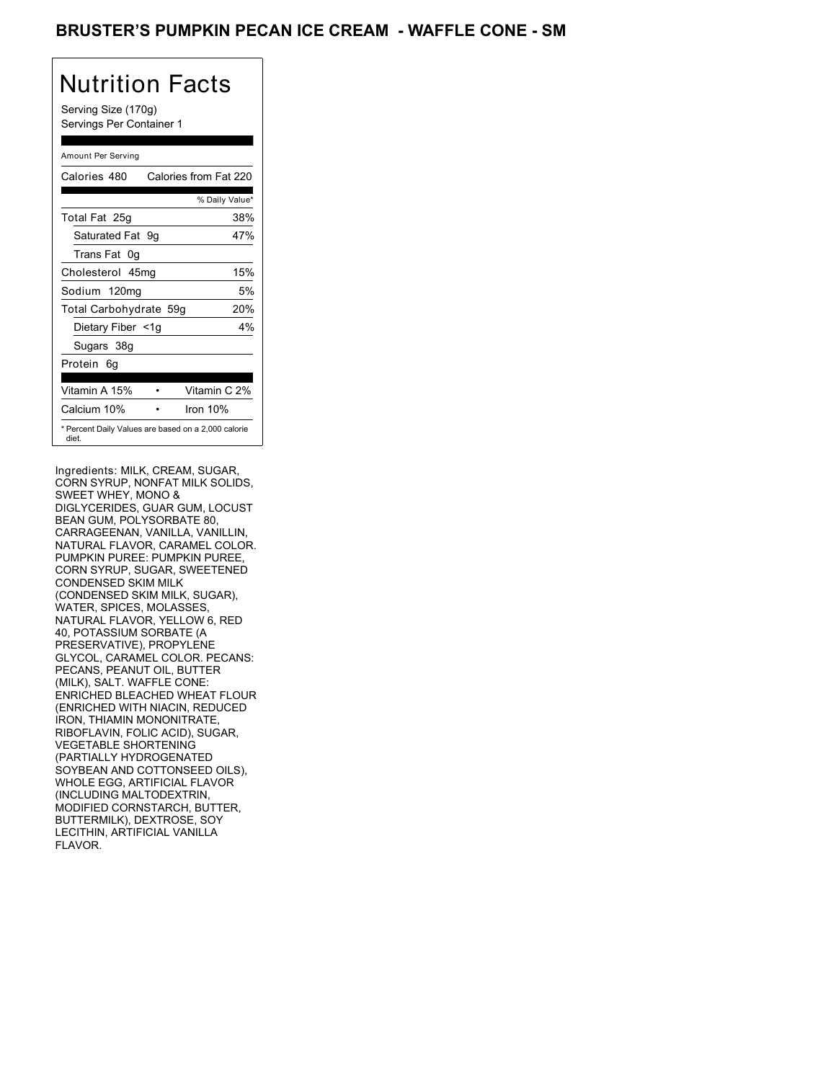### BRUSTER'S PUMPKIN PECAN ICE CREAM - WAFFLE CONE - SM

# Nutrition Facts

Serving Size (170g) Servings Per Container 1

#### Amount Per Serving

| Calories 480                                                 |  | Calories from Fat 220 |       |
|--------------------------------------------------------------|--|-----------------------|-------|
|                                                              |  | % Daily Value*        |       |
| Total Fat 25g                                                |  |                       | 38%   |
| Saturated Fat 9g                                             |  |                       | 47%   |
| Trans Fat 0q                                                 |  |                       |       |
| Cholesterol 45mg                                             |  |                       | 15%   |
| Sodium 120mg                                                 |  |                       | 5%    |
| Total Carbohydrate 59g                                       |  |                       | 20%   |
| Dietary Fiber <1g                                            |  |                       | $4\%$ |
| Sugars 38g                                                   |  |                       |       |
| Protein 6q                                                   |  |                       |       |
| Vitamin A 15%                                                |  | Vitamin C 2%          |       |
| Calcium 10%                                                  |  | Iron $10%$            |       |
| * Percent Daily Values are based on a 2,000 calorie<br>diet. |  |                       |       |

Ingredients: MILK, CREAM, SUGAR, CORN SYRUP, NONFAT MILK SOLIDS, SWEET WHEY, MONO & DIGLYCERIDES, GUAR GUM, LOCUST BEAN GUM, POLYSORBATE 80, CARRAGEENAN, VANILLA, VANILLIN, NATURAL FLAVOR, CARAMEL COLOR. PUMPKIN PUREE: PUMPKIN PUREE, CORN SYRUP, SUGAR, SWEETENED CONDENSED SKIM MILK (CONDENSED SKIM MILK, SUGAR), WATER, SPICES, MOLASSES, NATURAL FLAVOR, YELLOW 6, RED 40, POTASSIUM SORBATE (A PRESERVATIVE), PROPYLENE GLYCOL, CARAMEL COLOR. PECANS: PECANS, PEANUT OIL, BUTTER (MILK), SALT. WAFFLE CONE: ENRICHED BLEACHED WHEAT FLOUR (ENRICHED WITH NIACIN, REDUCED IRON, THIAMIN MONONITRATE, RIBOFLAVIN, FOLIC ACID), SUGAR, VEGETABLE SHORTENING (PARTIALLY HYDROGENATED SOYBEAN AND COTTONSEED OILS), WHOLE EGG, ARTIFICIAL FLAVOR (INCLUDING MALTODEXTRIN, MODIFIED CORNSTARCH, BUTTER, BUTTERMILK), DEXTROSE, SOY LECITHIN, ARTIFICIAL VANILLA FLAVOR.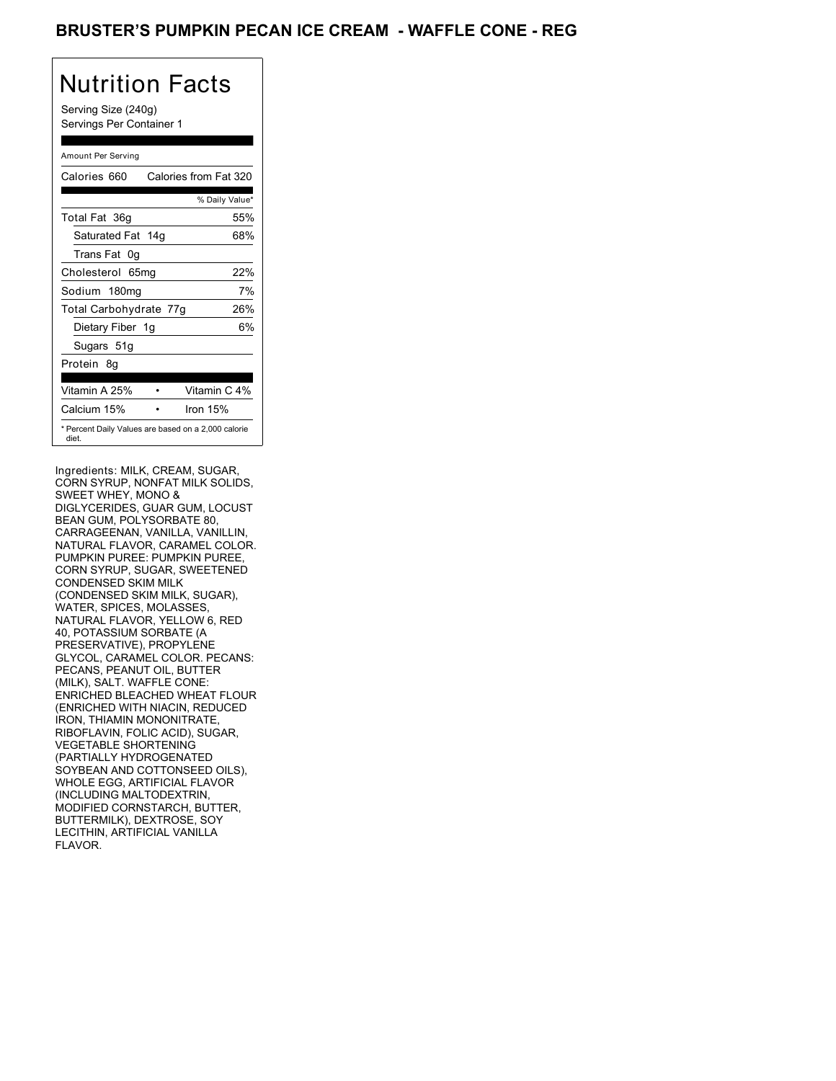### BRUSTER'S PUMPKIN PECAN ICE CREAM - WAFFLE CONE - REG

# Nutrition Facts

Serving Size (240g) Servings Per Container 1

#### Amount Per Serving

| Calories 660                                                 | Calories from Fat 320 |
|--------------------------------------------------------------|-----------------------|
|                                                              | % Daily Value*        |
| Total Fat 36g                                                | 55%                   |
| Saturated Fat 14g                                            | 68%                   |
| Trans Fat 0q                                                 |                       |
| Cholesterol 65mg                                             | 22%                   |
| Sodium 180mg                                                 | 7%                    |
| Total Carbohydrate 77g                                       | 26%                   |
| Dietary Fiber 1g                                             | 6%                    |
| Sugars 51g                                                   |                       |
| Protein 8q                                                   |                       |
| Vitamin A 25%                                                | Vitamin C 4%          |
| Calcium 15%                                                  | Iron $15%$            |
| * Percent Daily Values are based on a 2,000 calorie<br>diet. |                       |

Ingredients: MILK, CREAM, SUGAR, CORN SYRUP, NONFAT MILK SOLIDS, SWEET WHEY, MONO & DIGLYCERIDES, GUAR GUM, LOCUST BEAN GUM, POLYSORBATE 80, CARRAGEENAN, VANILLA, VANILLIN, NATURAL FLAVOR, CARAMEL COLOR. PUMPKIN PUREE: PUMPKIN PUREE, CORN SYRUP, SUGAR, SWEETENED CONDENSED SKIM MILK (CONDENSED SKIM MILK, SUGAR), WATER, SPICES, MOLASSES, NATURAL FLAVOR, YELLOW 6, RED 40, POTASSIUM SORBATE (A PRESERVATIVE), PROPYLENE GLYCOL, CARAMEL COLOR. PECANS: PECANS, PEANUT OIL, BUTTER (MILK), SALT. WAFFLE CONE: ENRICHED BLEACHED WHEAT FLOUR (ENRICHED WITH NIACIN, REDUCED IRON, THIAMIN MONONITRATE, RIBOFLAVIN, FOLIC ACID), SUGAR, VEGETABLE SHORTENING (PARTIALLY HYDROGENATED SOYBEAN AND COTTONSEED OILS), WHOLE EGG, ARTIFICIAL FLAVOR (INCLUDING MALTODEXTRIN, MODIFIED CORNSTARCH, BUTTER, BUTTERMILK), DEXTROSE, SOY LECITHIN, ARTIFICIAL VANILLA FLAVOR.